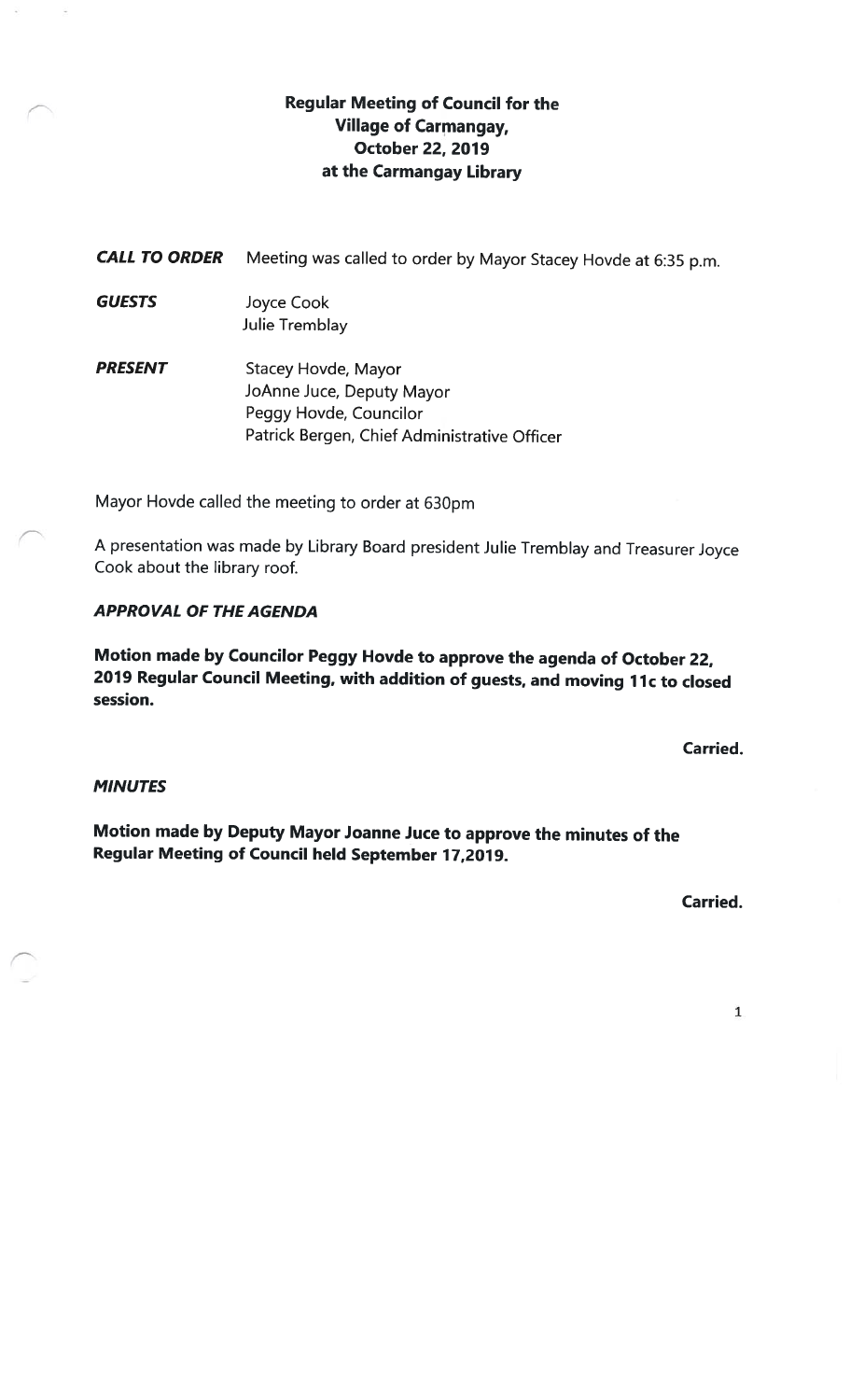### Regular Meeting of Council for the Village of Carmangay, October 22, 2019 at the Carmangay Library

CALL TO ORDER Meeting was called to order by Mayor Stacey Hovde at 6:35 p.m.

- GUESTS Joyce Cook Julie Tremblay
- **PRESENT** Stacey Hovde, Mayor JoAnne Juce, Deputy Mayor Peggy Hovde, Councilor Patrick Bergen, Chief Administrative Officer

Mayor Hovde called the meeting to order at 630pm

<sup>A</sup> presentation was made by Library Board president Julie Iremblay and Treasurer Joyce Cook about the library roof.

### APPROVAL OF THE AGENDA

Motion made by Councilor Peggy Hovde to approve the agenda of October 22, 2019 Regular Council Meeting, with addition of guests, and moving 11c to closed session.

Carried.

### **MINUTES**

Motion made by Deputy Mayor Joanne Juce to approve the minutes of the Regular Meeting of Council held September 17,2019.

Carried.

1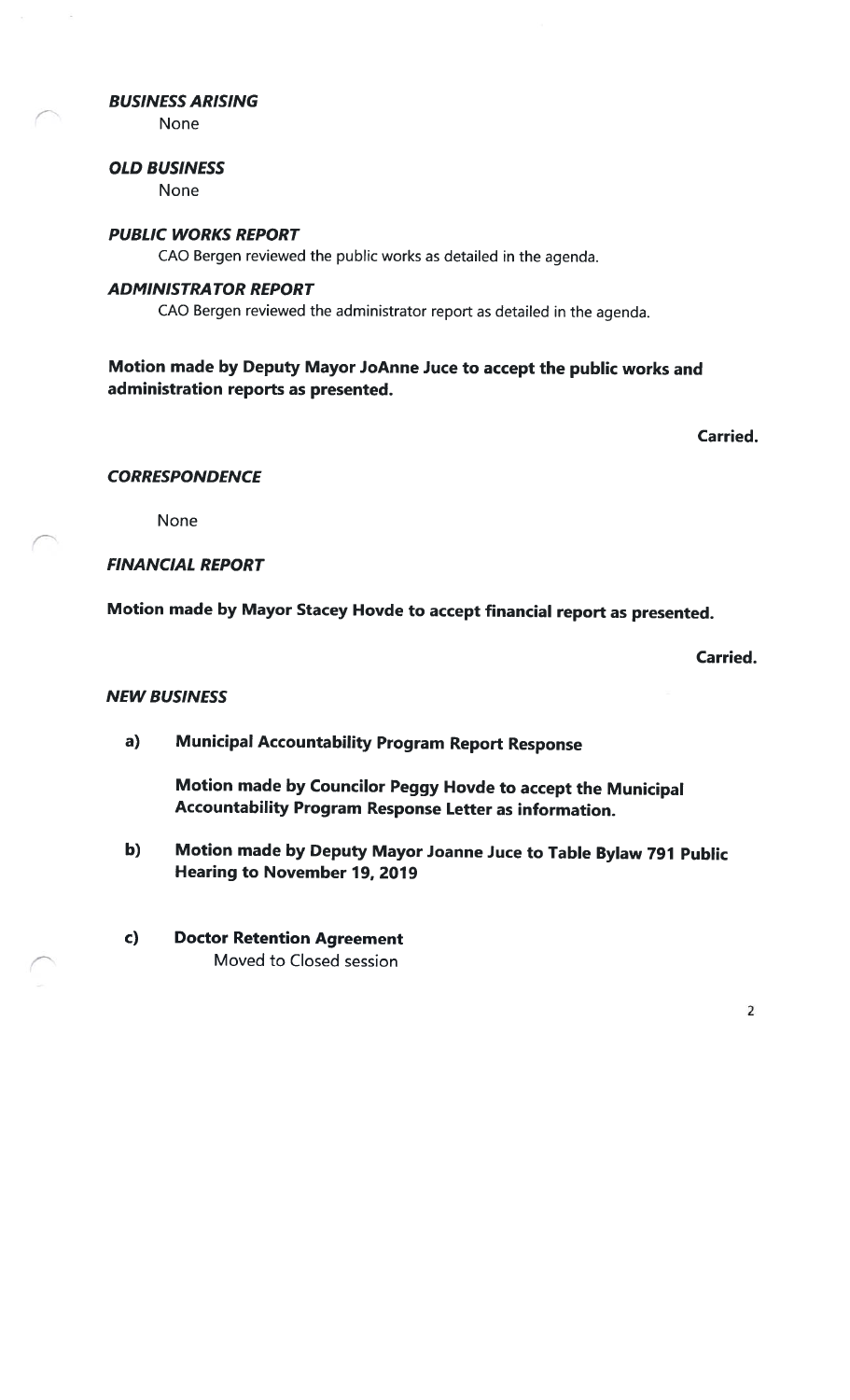### BUSINESS ARISING

None

#### OLD BUSINESS

None

#### PUBLIC WORKS REPORT

CAO Bergen reviewed the public works as detailed in the agenda.

#### ADMINISTRATOR REPORT

CAO Bergen reviewed the administrator report as detailed in the agenda.

### Motion made by Deputy Mayor JoAnne Juce to accept the public works and administration reports as presented.

Carried.

#### **CORRESPONDENCE**

None

### FINANCIAL REPORT

Motion made by Mayor Stacey Hovde to accept financial report as presented.

Carried.

#### NEW BUSINESS

a) Municipal Accountability Program Report Response

Motion made by Councilor Peggy Hovde to accept the Municipal Accountability Program Response Letter as information.

- b) Motion made by Deputy Mayor Joanne Juce to Table Bylaw <sup>791</sup> Public Hearing to November 19, 2019
- c) Doctor Retention Agreement Moved to Closed session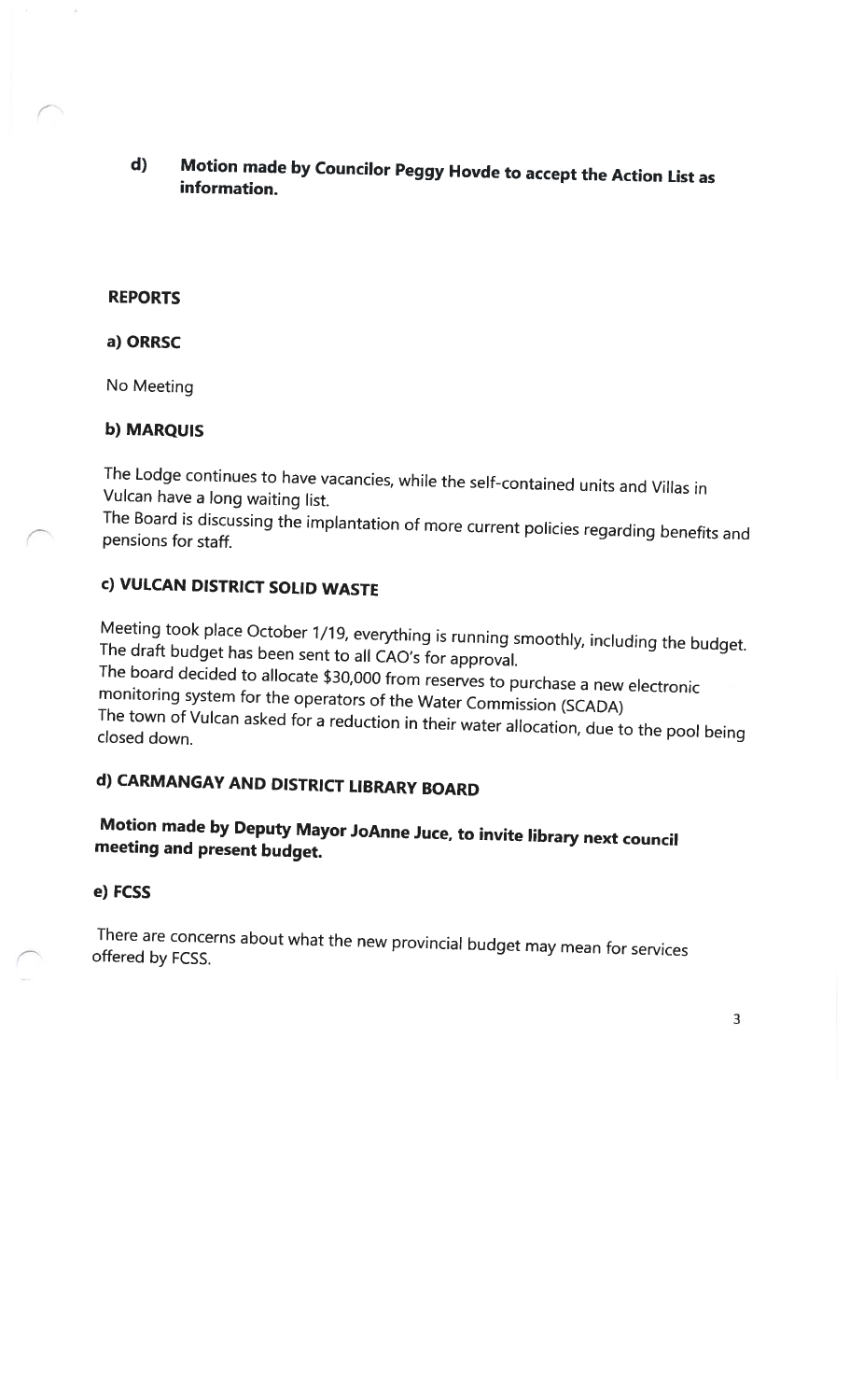d) Motion made by Councilor Peggy Hovde to accept the Action List as information.

### REPORTS

### a) ORRSC

No Meeting

### b) MARQUIS

The Lodge continues to have vacancies, while the self-contained units and Villas in Vulcan have <sup>a</sup> long waiting list.

The Board is discussing the implantation of more current policies regarding benefits and pensions for staff.

### c) VULCAN DISTRICT SOLID WASTE

Meeting took <sup>p</sup>lace October 1/19, everything is running smoothly, including the budget. The draft budget has been sent to all CAO's for approval.

The board decided to allocate \$30,000 from reserves to purchase <sup>a</sup> new electronic monitoring system for the operators of the Water Commission (SCADA) The town of Vulcan asked for <sup>a</sup> reduction in their water allocation, due to the pool being closed down.

### d) CARMANGAY AND DISTRICT LIBRARY BOARD

### Motion made by Deputy Mayor JoAnne Juce, to invite library next council meeting and present budget.

### e) FCSS

There are concerns about what the new provincial budget may mean for services offered by FCSS.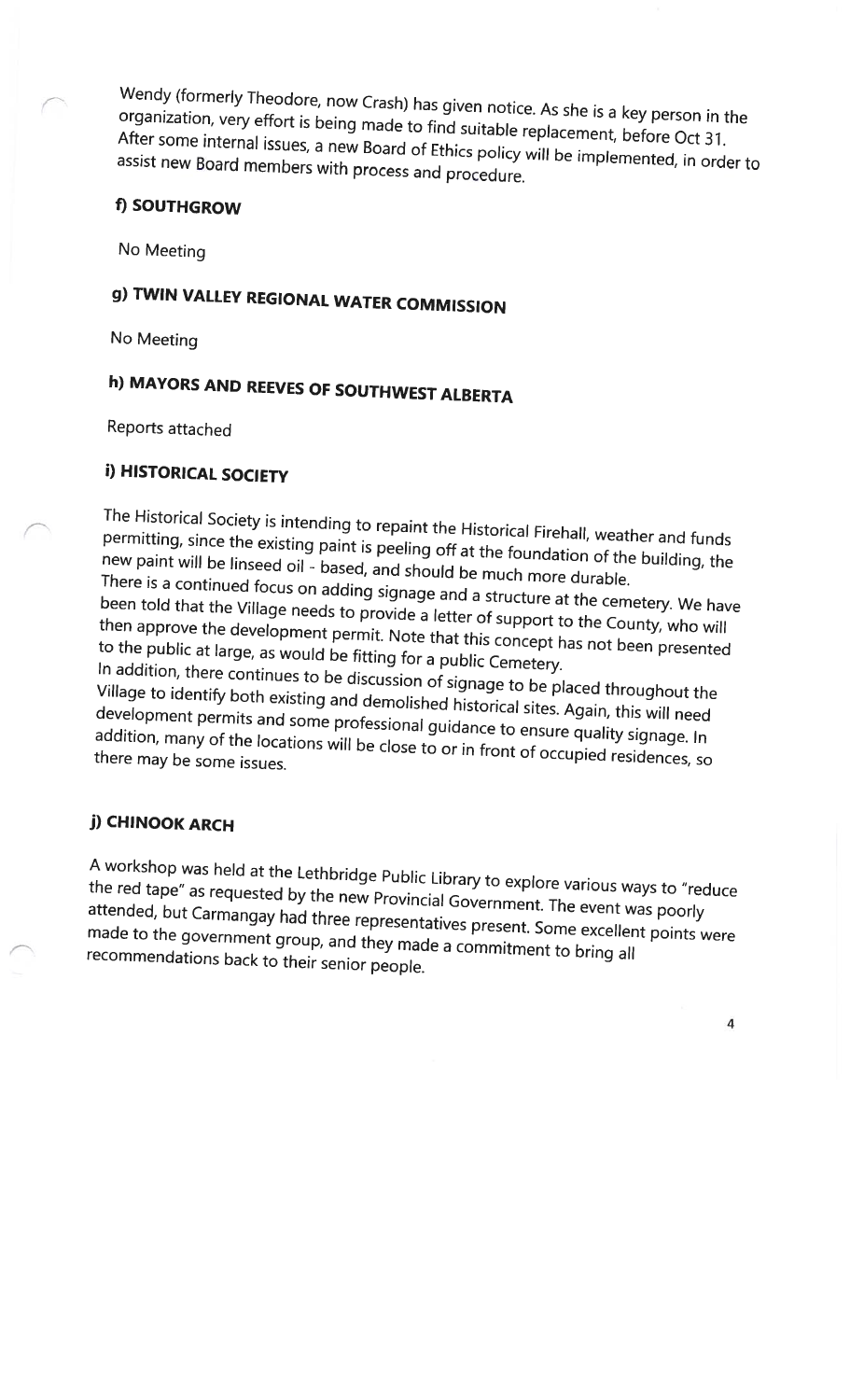organization, Wendy (formerly very Theodore, neodore, now Crash) has given notice. As she is a key person in the<br>effort is being made to find suitable organization, very effort is being made to find suitable replacement, before Oct 31.<br>After some internal issues a new Board of FH: in the manner was before Oct 31. After some internal issues, a new Board of Ethics policy will be implemented, in order to<br>assist new Board members with process and procedure assist new Board members with process and procedure.

### f) SOUTHGROW

No Meeting

## g) TWIN VALLEY REGIONAL WATER COMMISSION

No Meeting

## h) MAYORS AND REEVES OF SOUTHWEST ALBERTA

Reports attached

### i) HISTORICAL SOCIETY

permitting, The Historical since Society <sup>ciety</sup> is intending to repaint the Historical Firehall, weather and funds<br>the existing paint is pooling off *AAL* permitting, since the existing paint is peeling off at the foundation of the building, the<br>new paint will be linseed oil - based, and should be There is a continued focus on adding to thould be much more durable. been told that continued inued focus on adding signage and a structure at the cemetery. We have<br>the Village needs to provide a letter of suppert, when a needs to provide a letter of support to the County, who will then approve the development their approve the development permit. Note that this concept has not been presented<br>to the public at large, as would be fitting for a public Cancel. to the public at large, as would be fitting for a public Cemetery.

In addition, there continues to be discussion of signage to be placed throughout the<br>Village to identify both existing and demolished bistaria L. i. village to identify both existing and demolished historical sites. Again, this will need<br>development permits and some professional quidens of development permits and some professional guidance to ensure quality signage. In addition, many of the locations will be close to or in front of occupied residences, so<br>there may be some issues.

### j) CHINOOK ARCH

the <sup>A</sup> workshop red tape" was <sup>ras</sup> held at the Lethbridge Public Library to explore various ways to "reduce<br><sup>as requested by the new Provincial Governume of Ti</sup> attended, but Carmangay had three representatives the red tape" as requested by the new Provincial Government. The event was poorly made to the government group and they made a series. Some excellent points were group, and they made <sup>a</sup> commitment to bring all recommendations back to their senior people.

4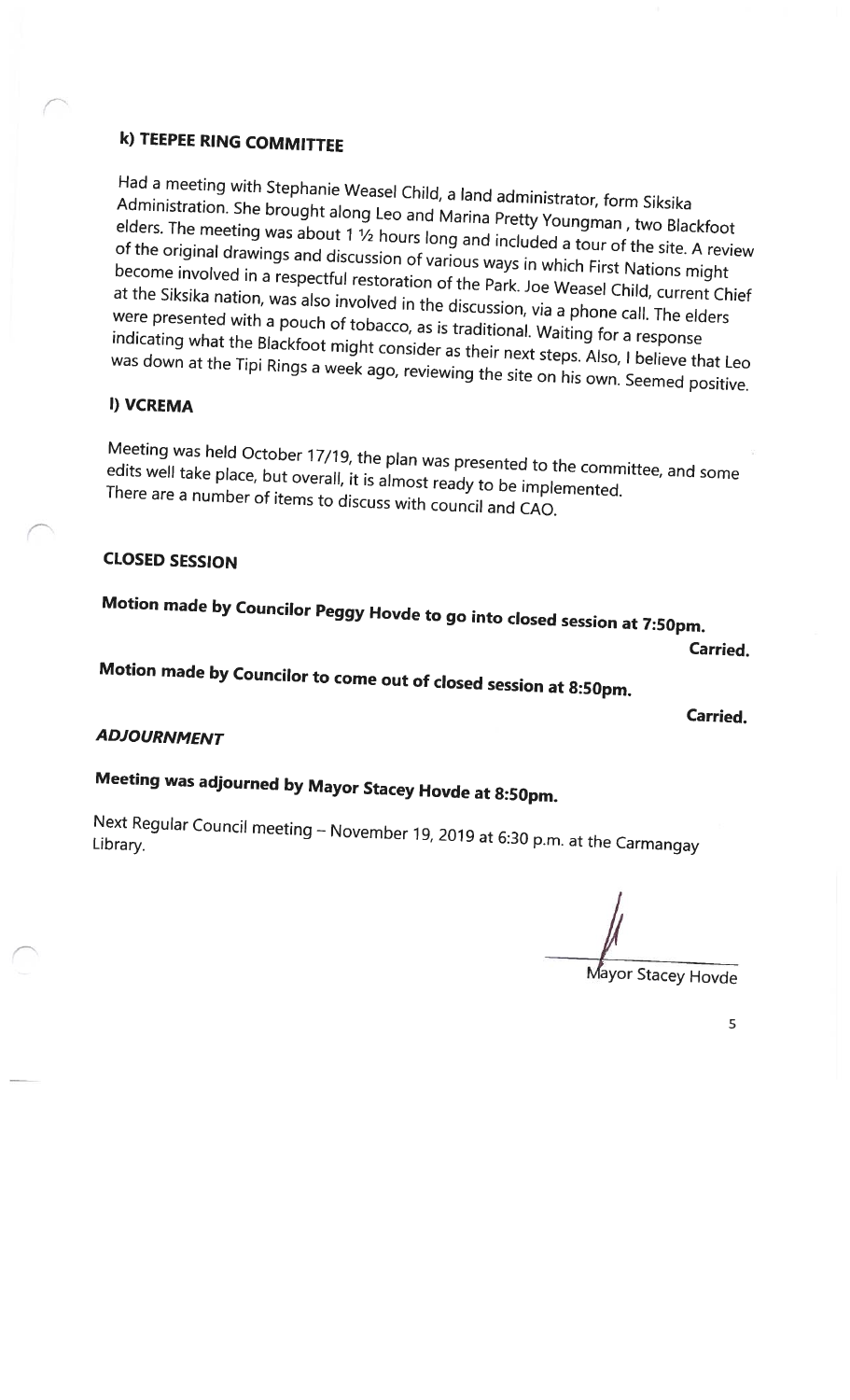### k) TEEPEE RING COMMITTEE

Had <sup>a</sup> meeting with Stephanie Weasel Child, <sup>a</sup> land administrator, Administration. form Siksika Administration. She brought along Leo and Marina Pretty Youngman, two Blackfoot<br>elders. The meeting was about 1 ½ hours long and included to the Calackfoot of the original drawings and elders. The meeting was about 1  $\frac{1}{2}$  hours long and included a tour of the site. A review or the original drawings and discussion of various ways in which First Nations might<br>become involved in a respectful restoration of the Pull is which First Nations might become involved in a respectful restoration of the Park. Joe Weasel Child, current Chief<br>at the Siksika nation, was also involved in the discussion at the siksika hation, was also involved in the discussion, via a phone call. The elders<br>were presented with a pouch of tobacco, as is traditional way a phone call. The elders were presented with a pouch of tobacco, as is traditional. Waiting for a response<br>indicating what the Blackfoot might consider as the i was down at the Tipi Blackfoot might consider as their next steps. Also, <sup>I</sup> believe that Leo Rings <sup>a</sup> week ago, reviewing the site on his own. Seemed positive.

### I) VCREMA

edits Meeting well was take held place, October <sup>tober</sup> 17/19, the plan was presented to the committee, and some<br>but overall, it is almost readulted in the committee, and some edits well take place, but overall, it is almost ready to be implemented. There are <sup>a</sup> number of items to discuss with council and CAO.

### CLOSED SESSION

Motion made by Councilor Peggy Hovde to go into closed session at 7:50pm.

Carried.

# Motion made by Councilor to come out of closed session at 8:50pm.

Carried.

### ADJOURNMENT

# Meeting was adjourned by Mayor Stacey Hovde at 8:50pm.

Next Regular Council meeting – November 19, 2019 at 6:30 p.m. at the Carmangay<br>Library.

or Stacey Hovde

5